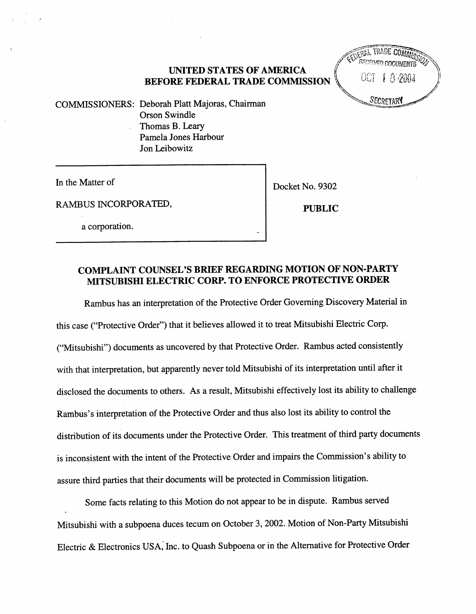## UNTED STATES OF AMERICA BEFORE FEDERAL TRADE COMMISSION

**LIVERAL TRADE COM** RECENCED DOCUMENTS 1 a an<sub>a</sub>

 $COMMISSIONERS: Deborah Platt Majoras, Chairman$  "figure of  $S_{ECR}$ Orson Swindle Thomas B. Lear Pamela Jones Harbour Jon Leibowitz

In the Matter of  $\vert$  Docket No. 9302

RAMBUS INCORPORATED, PUBLIC

a corporation.

# COMPLAINT COUNSEL'S BRIEF REGARDING MOTION OF NON-PARTY MITSUBISHI ELECTRIC CORP. TO ENFORCE PROTECTIVE ORDER

Rambus has an interpretation of the Protective Order Governing Discovery Material in this case ("Protective Order") that it believes allowed it to treat Mitsubishi Electric Corp. Mitsubishi") documents as uncovered by that Protective Order. Rambus acted consistently with that interpretation, but apparently never told Mitsubishi of its interpretation until after it disclosed the documents to others. As a result, Mitsubishi effectively lost its ability to challenge Rambus's interpretation of the Protective Order and thus also lost its ability to control the distribution of its documents under the Protective Order. This treatment of third pary documents is inconsistent with the intent of the Protective Order and impairs the Commission's ability to assure third parties that their documents will be protected in Commission litigation.

Some facts relating to this Motion do not appear to be in dispute. Rambus served Mitsubishi with a subpoena duces tecum on October 3, 2002. Motion of Non-Pary Mitsubishi Electric & Electronics USA; Inc. to Quash Subpoena or in the Alternative for Protective Order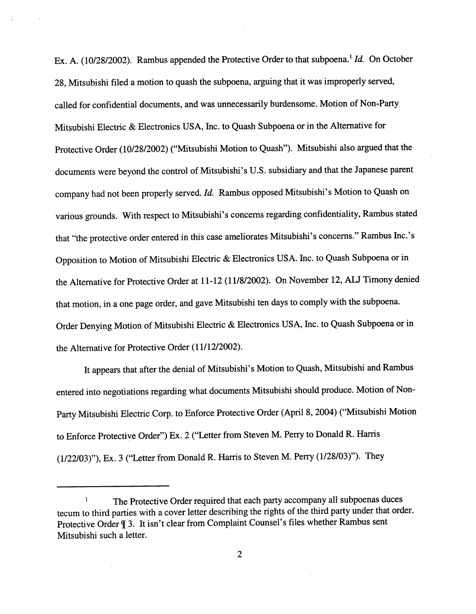Ex. A. (10/28/2002). Rambus appended the Protective Order to that subpoena.<sup>1</sup> Id. On October 28. Mitsubishi filed a motion to quash the subpoena, arguing that it was improperly served, called for confidential documents, and was unnecessarly burdensome. Motion of Non-Pary Mitsubishi Electric & Electronics USA, Inc. to Quash Subpoena or in the Alternative for Protective Order (10/28/2002) ("Mitsubishi Motion to Quash"). Mitsubishi also argued that the documents were beyond the control of Mitsubishi's U.S. subsidiary and that the Japanese parent company had not been properly served. Id. Rambus opposed Mitsubishi's Motion to Quash on various grounds. With respect to Mitsubishi's concerns regarding confidentiality, Rambus stated that "the protective order entered in this case ameliorates Mitsubishi's concerns." Rambus Inc.'s Opposition to Motion of Mitsubishi Electric & Electronics USA. Inc. to Quash Subpoena or in the Alternative for Protective Order at 11-12 (11/8/2002). On November 12, ALJ Timony denied that motion, in a one page order, and gave Mitsubishi ten days to comply with the subpoena. Order Denying Motion of Mitsubishi Electric & Electronics USA, Inc. to Quash Subpoena or in the Alternative for Protective Order (11/12/2002).

It appears that after the denial of Mitsubishi' s Motion to Quash, Mitsubishi and Rambus entered into negotiations regarding what documents Mitsubishi should produce. Motion of Non-Pary Mitsubishi Electric Corp. to Enforce Protective Order (April 8, 2004) ("Mitsubishi Motion to Enforce Protective Order") Ex. 2 ("Letter from Steven M. Perry to Donald R. Harris  $(1/22/03)$ "), Ex. 3 ("Letter from Donald R. Harris to Steven M. Perry  $(1/28/03)$ "). They

 $\mathbf 1$ The Protective Order required that each pary accompany all subpoenas duces tecum to third paries with a cover letter describing the rights of the third party under that order. Protective Order  $\mathbb{I}$  3. It isn't clear from Complaint Counsel's files whether Rambus sent Mitsubishi such a letter.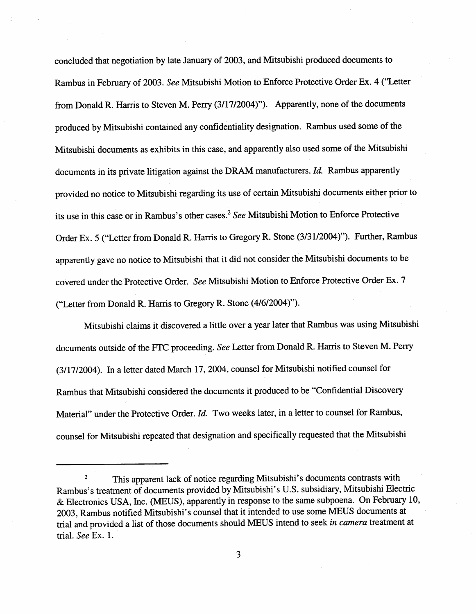concluded that negotiation by late January of 2003, and Mitsubishi produced documents to Rambus in February of 2003. See Mitsubishi Motion to Enforce Protective Order Ex. 4 ("Letter from Donald R. Harris to Steven M. Perry (3/17/2004)"). Apparently, none of the documents produced by Mitsubishi contained any confidentiality designation. Rambus used some of the Mitsubishi documents as exhibits in this case, and apparently also used some of the Mitsubishi documents in its private litigation against the DRAM manufacturers. Id. Rambus apparently provided no notice to Mitsubishi regarding its use of certain Mitsubishi documents either prior to its use in this case or in Rambus's other cases.<sup>2</sup> See Mitsubishi Motion to Enforce Protective Order Ex. 5 ("Letter from Donald R. Harris to Gregory R. Stone (3/31/2004)"). Further, Rambus apparently gave no notice to Mitsubishi that it did not consider the Mitsubishi documents to be covered under the Protective Order. See Mitsubishi Motion to Enforce Protective Order Ex. 7 ("Letter from Donald R. Harris to Gregory R. Stone (4/6/2004)").

Mitsubishi claims it discovered a little over a year later that Rambus was using Mitsubishi documents outside of the FTC proceeding. See Letter from Donald R. Harris to Steven M. Perry (3/1712004). In a letter dated March 17 2004, counsel for Mitsubishi notified counsel for Rambus that Mitsubishi considered the documents it produced to be "Confidential Discovery Material" under the Protective Order. Id. Two weeks later, in a letter to counsel for Rambus, counsel for Mitsubishi repeated that designation and specifically requested that the Mitsubishi

This apparent lack of notice regarding Mitsubishi's documents contrasts with  $\overline{2}$ Rambus's treatment of documents provided by Mitsubishi's U.S. subsidiary, Mitsubishi Electric & Electronics USA, Inc. (MEUS), apparently in response to the same subpoena. On February 10, 2003, Rambus notified Mitsubishi's counsel that it intended to use some MEUS documents at trial and provided a list of those documents should MEUS intend to seek in camera treatment at trial. See Ex. 1.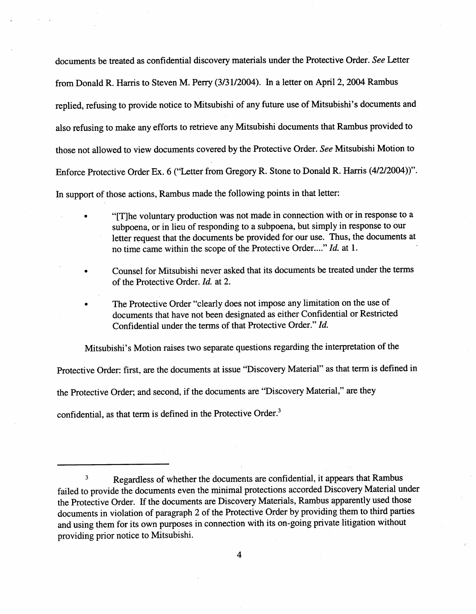documents be treated as confidential discovery materials under the Protective Order. See Letter from Donald R. Harris to Steven M. Perry (3/31/2004). In a letter on April 2, 2004 Rambus replied, refusing to provide notice to Mitsubishi of any future use of Mitsubishi' s documents and also refusing to make any efforts to retrieve any Mitsubishi documents that Rambus provided to those not allowed to view documents covered by the Protective Order. See Mitsubishi Motion to Enforce Protective Order Ex. 6 ("Letter from Gregory R. Stone to Donald R. Harris (4/2/2004))". In support of those actions, Rambus made the following points in that letter:

- "[T]he voluntary production was not made in connection with or in response to a subpoena, or in lieu of responding to a subpoena, but simply in response to our letter request that the documents be provided for our use. Thus, the documents at subpoena, or in lieu of responding to a subpoena, but simply in response to our letter request that the documents be provided for our use. Thus, the documents at no time came within the scope of the Protective Order...."
- Counsel for Mitsubishi never asked that its documents be treated under the terms of the Protective Order. Id. at 2.
- The Protective Order "clearly does not impose any limitation on the use of documents that have not been designated as either Confidential or Restricted Confidential under the terms of that Protective Order." Id.

Mitsubishi's Motion raises two separate questions regarding the interpretation of the

Protective Order: first, are the documents at issue "Discovery Material" as that term is defined in

the Protective Order; and second, if the documents are "Discovery Material," are they

confidential, as that term is defined in the Protective Order.

Regardless of whether the documents are confidential, it appears that Rambus  $\overline{\mathbf{3}}$ failed to provide the documents even the minimal protections accorded Discovery Material under the Protective Order. If the documents are Discovery Materials, Rambus apparently used those documents in violation of paragraph 2 of the Protective Order by providing them to third paries and using them for its own purposes in connection with its on-going private litigation without providing prior notice to Mitsubishi.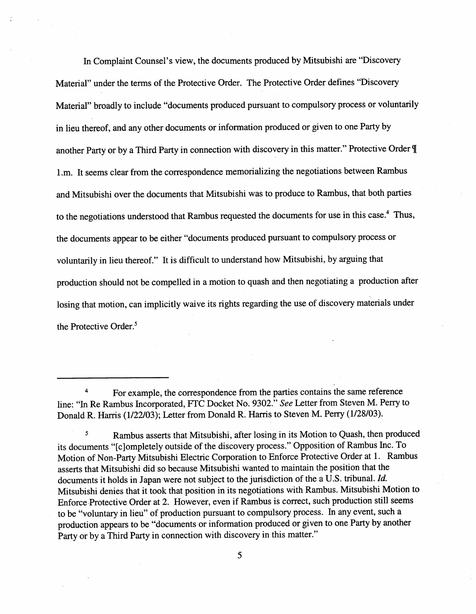In Complaint Counsel's view , the documents produced by Mitsubishi are "Discovery Material" under the terms of the Protective Order. The Protective Order defines "Discovery Material" broadly to include "documents produced pursuant to compulsory process or voluntarly in lieu thereof, and any other documents or information produced or given to one Pary by another Party or by a Third Party in connection with discovery in this matter." Protective Order ¶ I.m. It seems clear from the correspondence memorializing the negotiations between Rambus and Mitsubishi over the documents that Mitsubishi was to produce to Rambus, that both paries to the negotiations understood that Rambus requested the documents for use in this case.<sup>4</sup> Thus, the documents appear to be either "documents produced pursuant to compulsory process or voluntarly in lieu thereof." It is difficult to understand how Mitsubishi, by arguing that production should not be compelled in a motion to quash and then negotiating a production after losing that motion, can implicitly waive its rights regarding the use of discovery materials under the Protective Order.<sup>5</sup>

For example, the correspondence from the parties contains the same reference line: "In Re Rambus Incorporated, FTC Docket No. 9302." See Letter from Steven M. Perry to Donald R. Harris (1/22/03); Letter from Donald R. Harris to Steven M. Perry (1/28/03).

<sup>5</sup> Rambus asserts that Mitsubishi, after losing in its Motion to Quash, then produced its documents "[c]ompletely outside of the discovery process." Opposition of Rambus Inc. To Motion of Non-Pary Mitsubishi Electric Corporation to Enforce Protective Order at 1. Rambus asserts that Mitsubishi did so because Mitsubishi wanted to maintain the position that the documents it holds in Japan were not subject to the jurisdiction of the a U.S. tribunal. Id. Mitsubishi denies that it took that position in its negotiations with Rambus. Mitsubishi Motion to Enforce Protective Order at 2. However, even if Rambus is correct, such production stil seems to be "voluntary in lieu" of production pursuant to compulsory process. In any event, such a production appears to be "documents or information produced or given to one Pary by another Party or by a Third Party in connection with discovery in this matter."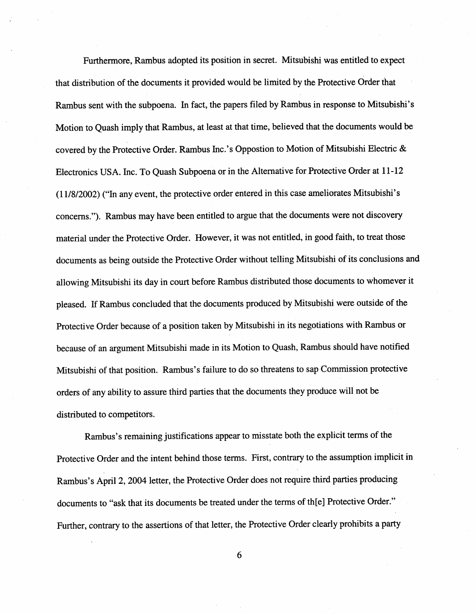Furthermore, Rambus adopted its position in secret. Mitsubishi was entitled to expect that distrbution of the documents it provided would be limited by the Protective Order that Rambus sent with the subpoena. In fact, the papers filed by Rambus in response to Mitsubishi's Motion to Quash imply that Rambus, at least at that time, believed that the documents would be covered by the Protective Order. Rambus Inc.'s Oppostion to Motion of Mitsubishi Electric & Electronics USA. Inc. To Quash Subpoena or in the Alternative for Protective Order at 11- (11/8/2002) ("In any event, the protective order entered in this case ameliorates Mitsubishi' s concerns."). Rambus may have been entitled to argue that the documents were not discovery material under the Protective Order. However, it was not entitled, in good faith, to treat those documents as being outside the Protective Order without telling Mitsubishi of its conclusions and allowing Mitsubishi its day in court before Rambus distributed those documents to whomever it pleased. If Rambus concluded that the documents produced by Mitsubishi were outside of the Protective Order because of a position taken by Mitsubishi in its negotiations with Rambus or because of an argument Mitsubishi made in its Motion to Quash, Rambus should have notified Mitsubishi of that position. Rambus's failure to do so threatens to sap Commission protective orders of any ability to assure third paries that the documents they produce wil not be distributed to competitors.

Rambus's remaining justifications appear to misstate both the explicit terms of the Protective Order and the intent behind those terms. First, contrary to the assumption implicit in Rambus's April 2, 2004 letter, the Protective Order does not require third parties producing documents to "ask that its documents be treated under the terms of th(e) Protective Order. Further, contrary to the assertions of that letter, the Protective Order clearly prohibits a party

6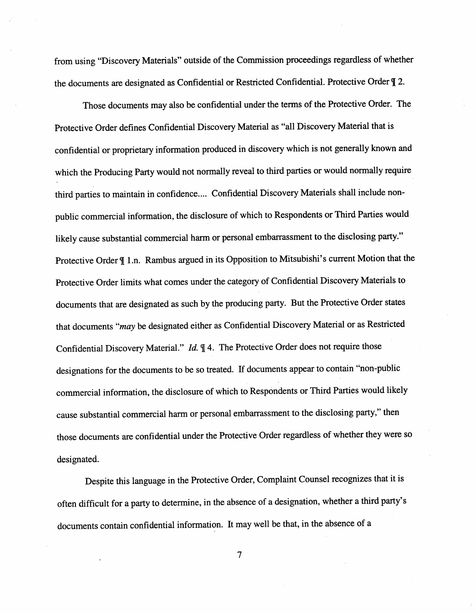from using "Discovery Materials" outside of the Commission proceedings regardless of whether the documents are designated as Confidential or Restricted Confidential. Protective Order  $\P$  2.

Those documents may also be confidential under the terms of the Protective Order. The Protective Order defines Confidential Discovery Material as "all Discovery Material that is confidential or proprietary information produced in discovery which is not generally known and which the Producing Party would not normally reveal to third parties or would normally require third paries to maintain in confidence.... Confidential Discovery Materials shall include nonpublic commercial information, the disclosure of which to Respondents or Third Parties would likely cause substantial commercial harm or personal embarrassment to the disclosing party." Protective Order  $\P$  1.n. Rambus argued in its Opposition to Mitsubishi's current Motion that the Protective Order limits what comes under the category of Confidential Discovery Materials to documents that are designated as such by the producing pary. But the Protective Order states that documents "may be designated either as Confidential Discovery Material or as Restricted Confidential Discovery Material." Id.  $\mathbb{I}$  4. The Protective Order does not require those designations for the documents to be so treated. If documents appear to contain "non-public commercial information, the disclosure of which to Respondents or Third Paries would likely cause substantial commercial harm or personal embarassment to the disclosing pary," then those documents are confidential under the Protective Order regardless of whether they were so designated.

Despite this language in the Protective Order, Complaint Counsel recognizes that it is often difficult for a party to determine, in the absence of a designation, whether a third party's documents contain confidential information. It may well be that, in the absence of a

 $\overline{7}$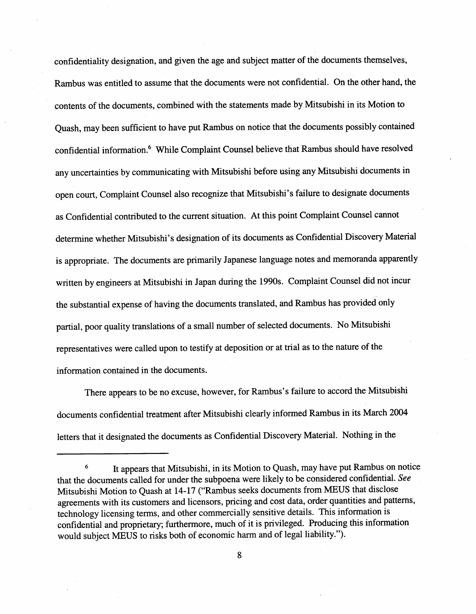confidentiality designation, and given the age and subject matter of the documents themselves Rambus was entitled to assume that the documents were not confidential. On the other hand, the contents of the documents, combined with the statements made by Mitsubishi in its Motion to Quash, may been sufficient to have put Rambus on notice that the documents possibly contained confidential information.6 While Complaint Counsel believe that Rambus should have resolved any uncertainties by communicating with Mitsubishi before using any Mitsubishi documents in open court, Complaint Counsel also recognize that Mitsubishi's failure to designate documents as Confidential contributed to the current situation. At this point Complaint Counsel cannot determine whether Mitsubishi's designation of its documents as Confidential Discovery Material is appropriate. The documents are primarily Japanese language notes and memoranda apparently written by engineers at Mitsubishi in Japan during the 1990s. Complaint Counsel did not incur the substantial expense of having the documents translated, and Rambus has provided only parial, poor quality translations of a small number of selected documents. No Mitsubishi representatives were called upon to testify at deposition or at trial as to the nature of the information contained in the documents.

There appears to be no excuse, however, for Rambus's failure to accord the Mitsubishi documents confidential treatment after Mitsubishi clearly informed Rambus in its March 2004 letters that it designated the documents as Confidential Discovery Material. Nothing in the

It appears that Mitsubishi, in its Motion to Quash, may have put Rambus on notice  $\bf 6$ that the documents called for under the subpoena were likely to be considered confidential. See Mitsubishi Motion to Quash at 14-17 ("Rambus seeks documents from MEUS that disclose agreements with its customers and licensors, pricing and cost data, order quantities and patterns technology licensing terms, and other commercially sensitive details. This information is confidential and proprietary; furthermore, much of it is privileged. Producing this information would subject MEUS to risks both of economic harm and of legal liability.").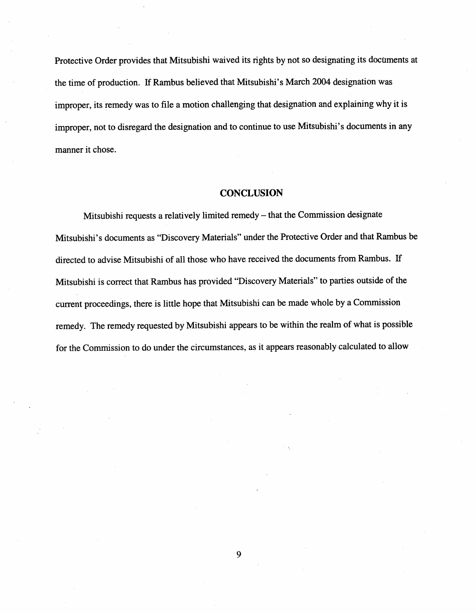Protective Order provides that Mitsubishi waived its rights by not so designating its documents at the time of production. If Rambus believed that Mitsubishi's March 2004 designation was improper, its remedy was to fie a motion challenging that designation and explaining why it is improper, not to disregard the designation and to continue to use Mitsubishi's documents in any manner it chose.

#### **CONCLUSION**

Mitsubishi requests a relatively limited remedy - that the Commission designate Mitsubishi's documents as "Discovery Materials" under the Protective Order and that Rambus be directed to advise Mitsubishi of all those who have received the documents from Rambus. If Mitsubishi is correct that Rambus has provided "Discovery Materials" to paries outside of the current proceedings, there is little hope that Mitsubishi can be made whole by a Commission remedy. The remedy requested by Mitsubishi appears to be within the realm of what is possible for the Commission to do under the circumstances, as it appears reasonably calculated to allow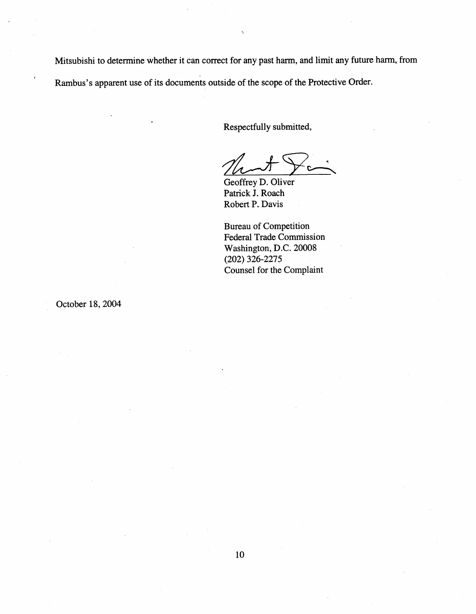Mitsubishi to determine whether it can correct for any past harm, and limit any future harm, from Rambus's apparent use of its documents outside of the scope of the Protective Order.

Respectfully submitted

Geoffrey D. Oliver Patrick J. Roach Robert P. Davis

Bureau of Competition Federal Trade Commission Washington, D.C. 20008 (202) 326-2275 Counsel for the Complaint

October 18, 2004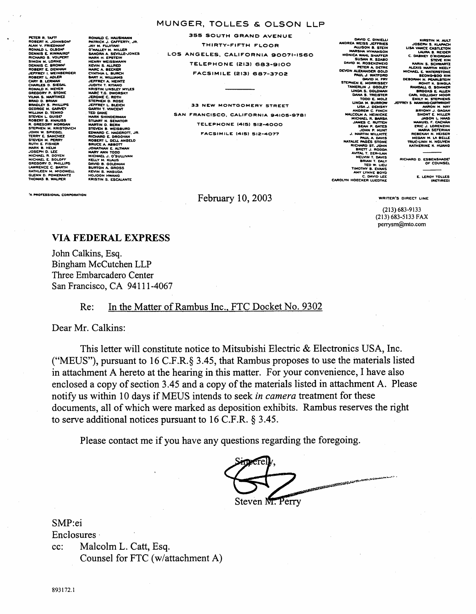#### MUNGER, TOLLES & OLSON LLP

**PETER R. TAFT<br>ROBERT K. JOHNSON<br>ALAN V. FRIEDMAN<br>RONALD L. OLSON<br>RICHARD S. VOLPERT<br>RICHARD S. VOLPERT<br>SIMON M. LORNA<br>ORENT L. WEINBERGER<br>ROBERT L. WEINBERGER<br>ROBERT L. ADLER<br>ROBERT L. WEINBERGER<br>ROBERT L. ADLER** SIEDAL weven **D STONE** mur7 ), BRIAN<br>EY S. PHILLIPS<br>E M. GARVEY<br>4 D. TEMKO<br>T B. KNAUSS<br>GORY MORGAN EGUNT MURGAR<br>IEN M KRISTOVICH . . . . . . .<br>Spiegel ₩. .<br>IEVEN M. PERR<br>UTH E. FISHER E. FISHER<br>B. HELM<br>NEL R. DOYEN<br>NEL E. SOLOFF<br>NEL E. SOLOFF<br>ENCE C. BARTH HLEEN M MSDOWELL N D. POMERANTZ **HAS B. WALPER** 

**RONALD C. HAUSMANN<br>PATRICK J. CAFFERTY, JR.** JAY M. FUJITANI<br>O'MALLEY M. MILLER **CHALLET M. HULLER<br>SANDRA A SEVILLE-JONES<br>MARK H. EPSTEIN<br>HENRY WEISSMANN<br>KEVIN S. ALLRED<br>KANC A BECKER<br>CYNTHIA L. BURCH<br>SANT H. WILLIAMS<br>JEFFREY A. HEINITZ<br>JUDITH T. KITAMIO<br>JEFFREY A. HEINITZ<br>JUDITH T. KITAMIO** AUL LAUNO<br>ISTIN LINSLEY MYLES MARC T.G. DV JEROME C. ROTH **IEN D. ROSE** JEFFREY L. BLEICH<br>GARTH T. VINCENT MARK SHINDERMAN<br>STUART N. SENATOR<br>STUART N. SENATOR<br>STUART N. SENATOR<br>EDWARD C. HAGEROTT, JR.<br>ROBERT L. DELL ANGELO<br>ROBERT L. DELL ANGELO<br>JONATHAN E. ALTMAN<br>MICHAEL. J. O'SUILIVAN<br>MICHAEL. J. O'SUILIVAN MARY ANN TODO<br>MICHAEL J. O'SULLIVAN<br>KELLY M. KLAUS<br>BAVID B. GOLDMAN<br>BURTON A. MASUDA<br>KEVIN S. MASUDA<br>HOJOON HWANG **KRISTIN S. ESCALANTE** 

355 SOUTH GRAND AVENUE THIRTY-FIFTH FLOOR LOS ANGELES, CALIFORNIA 90071-1560 TELEPHONE (213) 683-9100 **FACSIMILE (213) 687-3702** 

33 NEW MONTGOMERY STREET SAN FRANCISCO, CALIFORNIA 94105-9781 **TELEPHONE (415) 512-4000** FACSIMILE (415) 512-4077

February 10, 2003

DAVID C. DINIELLI<br>ANDREA WEISS JEFFRIES<br>ALLISON B. STEIN<br>MARSHA HYMATIC **KSON**  $\sim$ STEPHEN E MORRISSE WENLIN J. GODLEY<br>LINDA S. GOLDMAN<br>DANA S. TREISTEF LINDA M. **DREW C. FINCI<br>JM A. HEINICKI**<br>HAEL B. BARS MARTIN WIL **STONI Time** TED W IMOTHY B. CIEU<br>AMY LYNNE BOYD<br>AMY LYNNE BOYD<br>C. DAVID LEE<br>CAROLYN HOECKER LUEDTKE

u a **HOLLIDA** MILY M. STE **C-LINH** KATHERINE K. HU

RICHARD D. ESBENSHADET<br>OF COUNSEL

E. LEROY TOLLES

**ROFESSIONAL CORPORATION** 

 $(213) 683 - 9133$ (213) 683-5133 FAX perrysm@mto.com

WRITER'S DIRECT LINE

#### **VIA FEDERAL EXPRESS**

John Calkins, Esq. Bingham McCutchen LLP Three Embarcadero Center San Francisco, CA 94111-4067

#### In the Matter of Rambus Inc., FTC Docket No. 9302  $Re:$

Dear Mr. Calkins:

This letter will constitute notice to Mitsubishi Electric & Electronics USA, Inc. ("MEUS"), pursuant to 16 C.F.R. § 3.45, that Rambus proposes to use the materials listed in attachment A hereto at the hearing in this matter. For your convenience, I have also enclosed a copy of section 3.45 and a copy of the materials listed in attachment A. Please notify us within 10 days if MEUS intends to seek in camera treatment for these documents, all of which were marked as deposition exhibits. Rambus reserves the right to serve additional notices pursuant to 16 C.F.R.  $\S$  3.45.

Please contact me if you have any questions regarding the foregoing.

**CONTRACTOR** Steven M. Perry

SMP:ei

Enclosures Malcolm L. Catt, Esq. cc: Counsel for FTC (w/attachment A)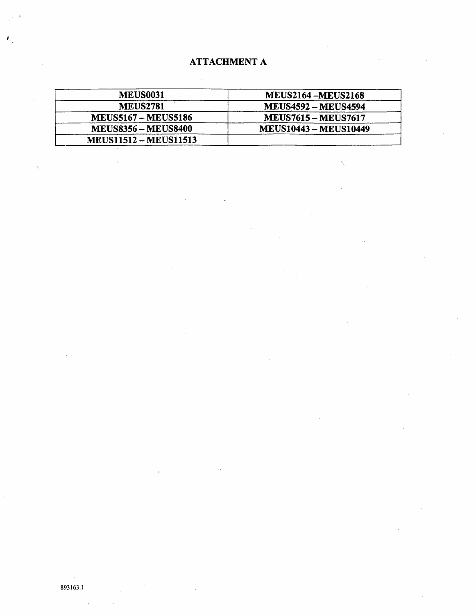# **ATTACHMENT A**

| <b>MEUS0031</b>              | <b>MEUS2164 -MEUS2168</b>    |
|------------------------------|------------------------------|
| <b>MEUS2781</b>              | <b>MEUS4592 - MEUS4594</b>   |
| <b>MEUS5167 – MEUS5186</b>   | <b>MEUS7615 - MEUS7617</b>   |
| <b>MEUS8356 - MEUS8400</b>   | <b>MEUS10443 - MEUS10449</b> |
| <b>MEUS11512 - MEUS11513</b> |                              |